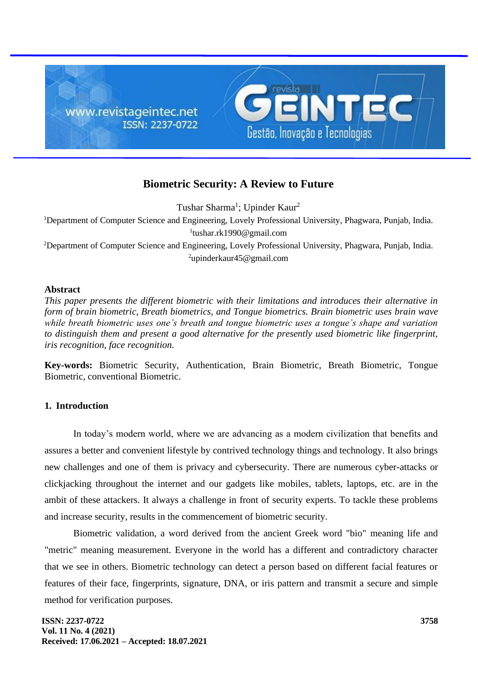

# **Biometric Security: A Review to Future**

Tushar Sharma<sup>1</sup>; Upinder Kaur<sup>2</sup>

<sup>1</sup>Department of Computer Science and Engineering, Lovely Professional University, Phagwara, Punjab, India. 1 tushar.rk1990@gmail.com

<sup>2</sup>Department of Computer Science and Engineering, Lovely Professional University, Phagwara, Punjab, India. <sup>2</sup>upinderkaur45@gmail.com

## **Abstract**

*This paper presents the different biometric with their limitations and introduces their alternative in form of brain biometric, Breath biometrics, and Tongue biometrics. Brain biometric uses brain wave while breath biometric uses one's breath and tongue biometric uses a tongue's shape and variation to distinguish them and present a good alternative for the presently used biometric like fingerprint, iris recognition, face recognition.*

**Key-words:** Biometric Security, Authentication, Brain Biometric, Breath Biometric, Tongue Biometric, conventional Biometric.

## **1. Introduction**

In today's modern world, where we are advancing as a modern civilization that benefits and assures a better and convenient lifestyle by contrived technology things and technology. It also brings new challenges and one of them is privacy and cybersecurity. There are numerous cyber-attacks or clickjacking throughout the internet and our gadgets like mobiles, tablets, laptops, etc. are in the ambit of these attackers. It always a challenge in front of security experts. To tackle these problems and increase security, results in the commencement of biometric security.

Biometric validation, a word derived from the ancient Greek word "bio" meaning life and "metric" meaning measurement. Everyone in the world has a different and contradictory character that we see in others. Biometric technology can detect a person based on different facial features or features of their face, fingerprints, signature, DNA, or iris pattern and transmit a secure and simple method for verification purposes.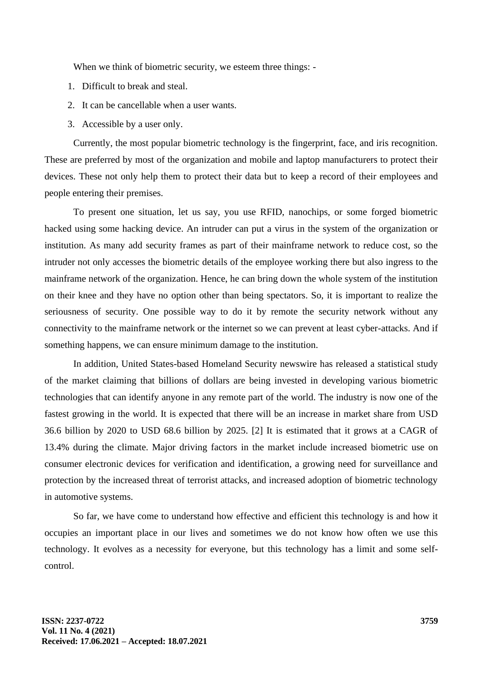When we think of biometric security, we esteem three things: -

- 1. Difficult to break and steal.
- 2. It can be cancellable when a user wants.
- 3. Accessible by a user only.

Currently, the most popular biometric technology is the fingerprint, face, and iris recognition. These are preferred by most of the organization and mobile and laptop manufacturers to protect their devices. These not only help them to protect their data but to keep a record of their employees and people entering their premises.

To present one situation, let us say, you use RFID, nanochips, or some forged biometric hacked using some hacking device. An intruder can put a virus in the system of the organization or institution. As many add security frames as part of their mainframe network to reduce cost, so the intruder not only accesses the biometric details of the employee working there but also ingress to the mainframe network of the organization. Hence, he can bring down the whole system of the institution on their knee and they have no option other than being spectators. So, it is important to realize the seriousness of security. One possible way to do it by remote the security network without any connectivity to the mainframe network or the internet so we can prevent at least cyber-attacks. And if something happens, we can ensure minimum damage to the institution.

In addition, United States-based Homeland Security newswire has released a statistical study of the market claiming that billions of dollars are being invested in developing various biometric technologies that can identify anyone in any remote part of the world. The industry is now one of the fastest growing in the world. It is expected that there will be an increase in market share from USD 36.6 billion by 2020 to USD 68.6 billion by 2025. [2] It is estimated that it grows at a CAGR of 13.4% during the climate. Major driving factors in the market include increased biometric use on consumer electronic devices for verification and identification, a growing need for surveillance and protection by the increased threat of terrorist attacks, and increased adoption of biometric technology in automotive systems.

So far, we have come to understand how effective and efficient this technology is and how it occupies an important place in our lives and sometimes we do not know how often we use this technology. It evolves as a necessity for everyone, but this technology has a limit and some selfcontrol.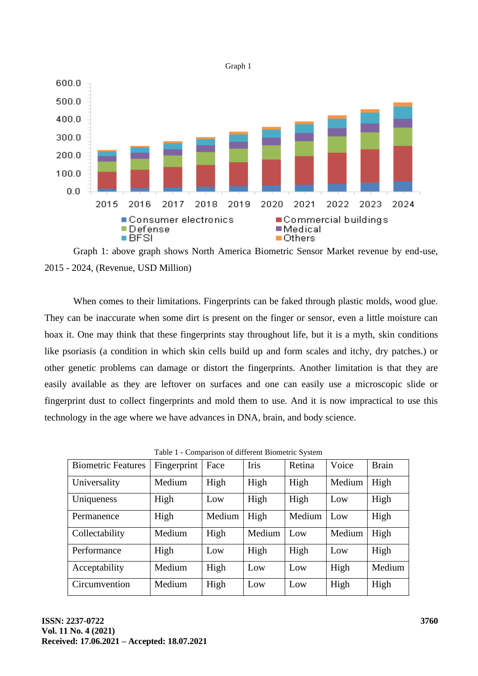

Graph 1: above graph shows North America Biometric Sensor Market revenue by end-use, 2015 - 2024, (Revenue, USD Million)

When comes to their limitations. Fingerprints can be faked through plastic molds, wood glue. They can be inaccurate when some dirt is present on the finger or sensor, even a little moisture can hoax it. One may think that these fingerprints stay throughout life, but it is a myth, skin conditions like psoriasis (a condition in which skin cells build up and form scales and itchy, dry patches.) or other genetic problems can damage or distort the fingerprints. Another limitation is that they are easily available as they are leftover on surfaces and one can easily use a microscopic slide or fingerprint dust to collect fingerprints and mold them to use. And it is now impractical to use this technology in the age where we have advances in DNA, brain, and body science.

| racio i companion of america biometric o fitting |             |        |             |        |        |              |  |
|--------------------------------------------------|-------------|--------|-------------|--------|--------|--------------|--|
| <b>Biometric Features</b>                        | Fingerprint | Face   | <b>Iris</b> | Retina | Voice  | <b>Brain</b> |  |
| Universality                                     | Medium      | High   | High        | High   | Medium | High         |  |
| Uniqueness                                       | High        | Low    | High        | High   | Low    | High         |  |
| Permanence                                       | High        | Medium | High        | Medium | Low    | High         |  |
| Collectability                                   | Medium      | High   | Medium      | Low    | Medium | High         |  |
| Performance                                      | High        | Low    | High        | High   | Low    | High         |  |
| Acceptability                                    | Medium      | High   | Low         | Low    | High   | Medium       |  |
| Circumvention                                    | Medium      | High   | Low         | Low    | High   | High         |  |

Table 1 - Comparison of different Biometric System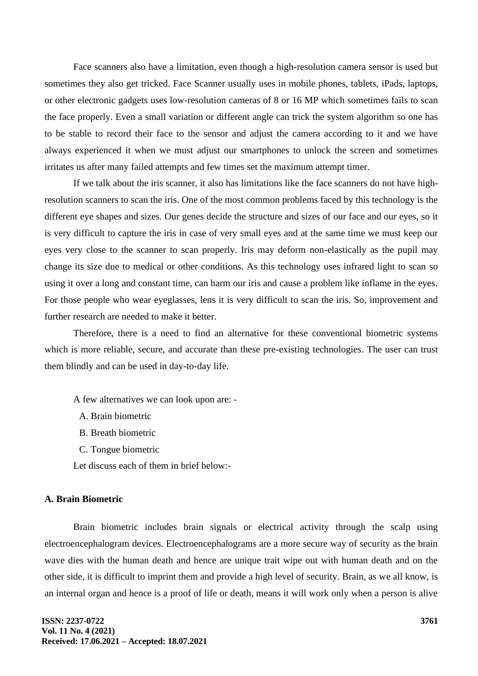Face scanners also have a limitation, even though a high-resolution camera sensor is used but sometimes they also get tricked. Face Scanner usually uses in mobile phones, tablets, iPads, laptops, or other electronic gadgets uses low-resolution cameras of 8 or 16 MP which sometimes fails to scan the face properly. Even a small variation or different angle can trick the system algorithm so one has to be stable to record their face to the sensor and adjust the camera according to it and we have always experienced it when we must adjust our smartphones to unlock the screen and sometimes irritates us after many failed attempts and few times set the maximum attempt timer.

If we talk about the iris scanner, it also has limitations like the face scanners do not have highresolution scanners to scan the iris. One of the most common problems faced by this technology is the different eye shapes and sizes. Our genes decide the structure and sizes of our face and our eyes, so it is very difficult to capture the iris in case of very small eyes and at the same time we must keep our eyes very close to the scanner to scan properly. Iris may deform non-elastically as the pupil may change its size due to medical or other conditions. As this technology uses infrared light to scan so using it over a long and constant time, can harm our iris and cause a problem like inflame in the eyes. For those people who wear eyeglasses, lens it is very difficult to scan the iris. So, improvement and further research are needed to make it better.

Therefore, there is a need to find an alternative for these conventional biometric systems which is more reliable, secure, and accurate than these pre-existing technologies. The user can trust them blindly and can be used in day-to-day life.

A few alternatives we can look upon are: -

- A. Brain biometric
- B. Breath biometric
- C. Tongue biometric

Let discuss each of them in brief below:-

## **A. Brain Biometric**

Brain biometric includes brain signals or electrical activity through the scalp using electroencephalogram devices. Electroencephalograms are a more secure way of security as the brain wave dies with the human death and hence are unique trait wipe out with human death and on the other side, it is difficult to imprint them and provide a high level of security. Brain, as we all know, is an internal organ and hence is a proof of life or death, means it will work only when a person is alive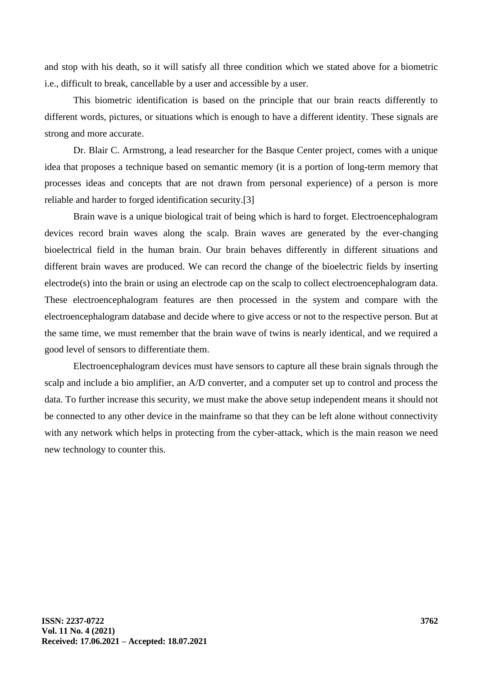and stop with his death, so it will satisfy all three condition which we stated above for a biometric i.e., difficult to break, cancellable by a user and accessible by a user.

This biometric identification is based on the principle that our brain reacts differently to different words, pictures, or situations which is enough to have a different identity. These signals are strong and more accurate.

Dr. Blair C. Armstrong, a lead researcher for the Basque Center project, comes with a unique idea that proposes a technique based on semantic memory (it is a portion of long-term memory that processes ideas and concepts that are not drawn from personal experience) of a person is more reliable and harder to forged identification security.[3]

Brain wave is a unique biological trait of being which is hard to forget. Electroencephalogram devices record brain waves along the scalp. Brain waves are generated by the ever-changing bioelectrical field in the human brain. Our brain behaves differently in different situations and different brain waves are produced. We can record the change of the bioelectric fields by inserting electrode(s) into the brain or using an electrode cap on the scalp to collect electroencephalogram data. These electroencephalogram features are then processed in the system and compare with the electroencephalogram database and decide where to give access or not to the respective person. But at the same time, we must remember that the brain wave of twins is nearly identical, and we required a good level of sensors to differentiate them.

Electroencephalogram devices must have sensors to capture all these brain signals through the scalp and include a bio amplifier, an A/D converter, and a computer set up to control and process the data. To further increase this security, we must make the above setup independent means it should not be connected to any other device in the mainframe so that they can be left alone without connectivity with any network which helps in protecting from the cyber-attack, which is the main reason we need new technology to counter this.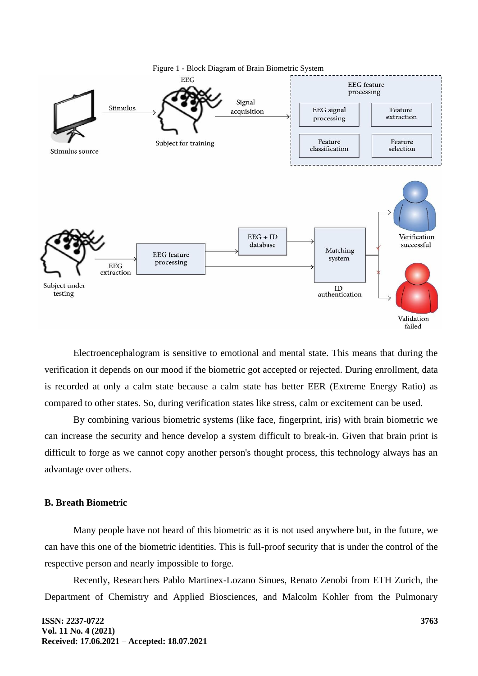

Electroencephalogram is sensitive to emotional and mental state. This means that during the verification it depends on our mood if the biometric got accepted or rejected. During enrollment, data is recorded at only a calm state because a calm state has better EER (Extreme Energy Ratio) as compared to other states. So, during verification states like stress, calm or excitement can be used.

By combining various biometric systems (like face, fingerprint, iris) with brain biometric we can increase the security and hence develop a system difficult to break-in. Given that brain print is difficult to forge as we cannot copy another person's thought process, this technology always has an advantage over others.

### **B. Breath Biometric**

Many people have not heard of this biometric as it is not used anywhere but, in the future, we can have this one of the biometric identities. This is full-proof security that is under the control of the respective person and nearly impossible to forge.

Recently, Researchers Pablo Martinex-Lozano Sinues, Renato Zenobi from ETH Zurich, the Department of Chemistry and Applied Biosciences, and Malcolm Kohler from the Pulmonary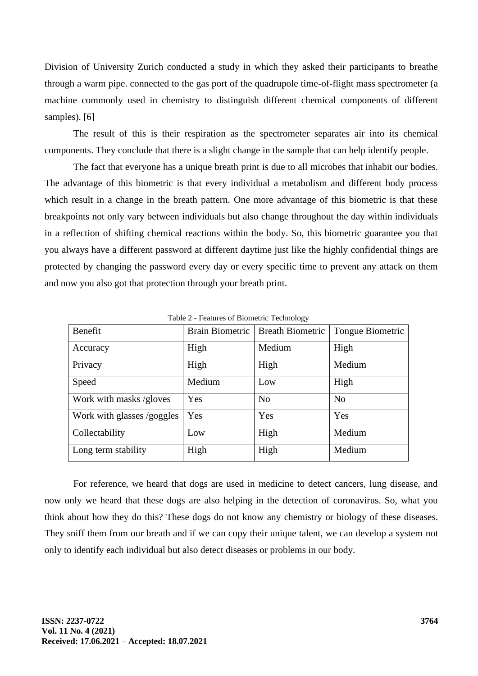Division of University Zurich conducted a study in which they asked their participants to breathe through a warm pipe. connected to the gas port of the quadrupole time-of-flight mass spectrometer (a machine commonly used in chemistry to distinguish different chemical components of different samples). [6]

The result of this is their respiration as the spectrometer separates air into its chemical components. They conclude that there is a slight change in the sample that can help identify people.

The fact that everyone has a unique breath print is due to all microbes that inhabit our bodies. The advantage of this biometric is that every individual a metabolism and different body process which result in a change in the breath pattern. One more advantage of this biometric is that these breakpoints not only vary between individuals but also change throughout the day within individuals in a reflection of shifting chemical reactions within the body. So, this biometric guarantee you that you always have a different password at different daytime just like the highly confidential things are protected by changing the password every day or every specific time to prevent any attack on them and now you also got that protection through your breath print.

| Benefit                    | <b>Brain Biometric</b> | <b>Breath Biometric</b> | Tongue Biometric |
|----------------------------|------------------------|-------------------------|------------------|
| Accuracy                   | High                   | Medium                  | High             |
| Privacy                    | High                   | High                    | Medium           |
| Speed                      | Medium                 | Low                     | High             |
| Work with masks /gloves    | Yes                    | N <sub>0</sub>          | N <sub>o</sub>   |
| Work with glasses /goggles | Yes                    | Yes                     | Yes              |
| Collectability             | Low                    | High                    | Medium           |
| Long term stability        | High                   | High                    | Medium           |

Table 2 - Features of Biometric Technology

For reference, we heard that dogs are used in medicine to detect cancers, lung disease, and now only we heard that these dogs are also helping in the detection of coronavirus. So, what you think about how they do this? These dogs do not know any chemistry or biology of these diseases. They sniff them from our breath and if we can copy their unique talent, we can develop a system not only to identify each individual but also detect diseases or problems in our body.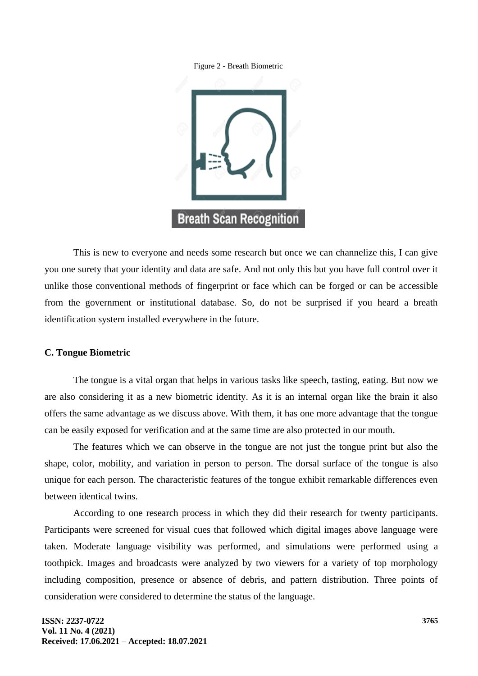



This is new to everyone and needs some research but once we can channelize this, I can give you one surety that your identity and data are safe. And not only this but you have full control over it unlike those conventional methods of fingerprint or face which can be forged or can be accessible from the government or institutional database. So, do not be surprised if you heard a breath identification system installed everywhere in the future.

### **C. Tongue Biometric**

The tongue is a vital organ that helps in various tasks like speech, tasting, eating. But now we are also considering it as a new biometric identity. As it is an internal organ like the brain it also offers the same advantage as we discuss above. With them, it has one more advantage that the tongue can be easily exposed for verification and at the same time are also protected in our mouth.

The features which we can observe in the tongue are not just the tongue print but also the shape, color, mobility, and variation in person to person. The dorsal surface of the tongue is also unique for each person. The characteristic features of the tongue exhibit remarkable differences even between identical twins.

According to one research process in which they did their research for twenty participants. Participants were screened for visual cues that followed which digital images above language were taken. Moderate language visibility was performed, and simulations were performed using a toothpick. Images and broadcasts were analyzed by two viewers for a variety of top morphology including composition, presence or absence of debris, and pattern distribution. Three points of consideration were considered to determine the status of the language.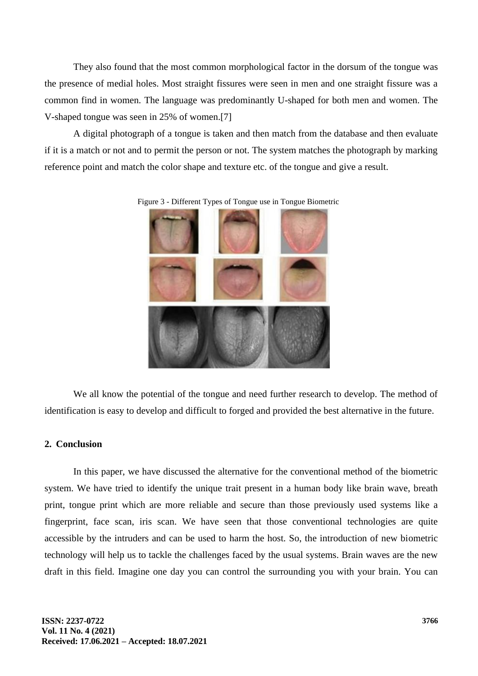They also found that the most common morphological factor in the dorsum of the tongue was the presence of medial holes. Most straight fissures were seen in men and one straight fissure was a common find in women. The language was predominantly U-shaped for both men and women. The V-shaped tongue was seen in 25% of women.[7]

A digital photograph of a tongue is taken and then match from the database and then evaluate if it is a match or not and to permit the person or not. The system matches the photograph by marking reference point and match the color shape and texture etc. of the tongue and give a result.



Figure 3 - Different Types of Tongue use in Tongue Biometric

We all know the potential of the tongue and need further research to develop. The method of identification is easy to develop and difficult to forged and provided the best alternative in the future.

## **2. Conclusion**

In this paper, we have discussed the alternative for the conventional method of the biometric system. We have tried to identify the unique trait present in a human body like brain wave, breath print, tongue print which are more reliable and secure than those previously used systems like a fingerprint, face scan, iris scan. We have seen that those conventional technologies are quite accessible by the intruders and can be used to harm the host. So, the introduction of new biometric technology will help us to tackle the challenges faced by the usual systems. Brain waves are the new draft in this field. Imagine one day you can control the surrounding you with your brain. You can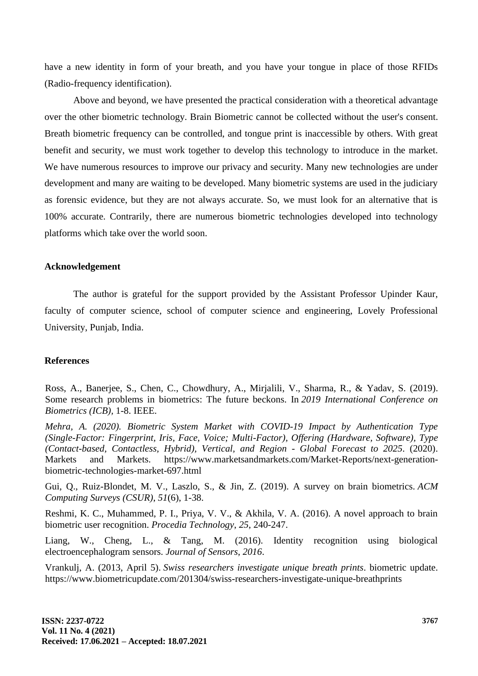have a new identity in form of your breath, and you have your tongue in place of those RFIDs (Radio-frequency identification).

Above and beyond, we have presented the practical consideration with a theoretical advantage over the other biometric technology. Brain Biometric cannot be collected without the user's consent. Breath biometric frequency can be controlled, and tongue print is inaccessible by others. With great benefit and security, we must work together to develop this technology to introduce in the market. We have numerous resources to improve our privacy and security. Many new technologies are under development and many are waiting to be developed. Many biometric systems are used in the judiciary as forensic evidence, but they are not always accurate. So, we must look for an alternative that is 100% accurate. Contrarily, there are numerous biometric technologies developed into technology platforms which take over the world soon.

### **Acknowledgement**

The author is grateful for the support provided by the Assistant Professor Upinder Kaur, faculty of computer science, school of computer science and engineering, Lovely Professional University, Punjab, India.

#### **References**

Ross, A., Banerjee, S., Chen, C., Chowdhury, A., Mirjalili, V., Sharma, R., & Yadav, S. (2019). Some research problems in biometrics: The future beckons. In *2019 International Conference on Biometrics (ICB),* 1-8. IEEE.

*Mehra, A. (2020). Biometric System Market with COVID-19 Impact by Authentication Type (Single-Factor: Fingerprint, Iris, Face, Voice; Multi-Factor), Offering (Hardware, Software), Type (Contact-based, Contactless, Hybrid), Vertical, and Region - Global Forecast to 2025*. (2020). Markets and Markets. https://www.marketsandmarkets.com/Market-Reports/next-generationbiometric-technologies-market-697.html

Gui, Q., Ruiz-Blondet, M. V., Laszlo, S., & Jin, Z. (2019). A survey on brain biometrics. *ACM Computing Surveys (CSUR)*, *51*(6), 1-38.

Reshmi, K. C., Muhammed, P. I., Priya, V. V., & Akhila, V. A. (2016). A novel approach to brain biometric user recognition. *Procedia Technology*, *25*, 240-247.

Liang, W., Cheng, L., & Tang, M. (2016). Identity recognition using biological electroencephalogram sensors. *Journal of Sensors*, *2016*.

Vrankulj, A. (2013, April 5). *Swiss researchers investigate unique breath prints*. biometric update. https://www.biometricupdate.com/201304/swiss-researchers-investigate-unique-breathprints